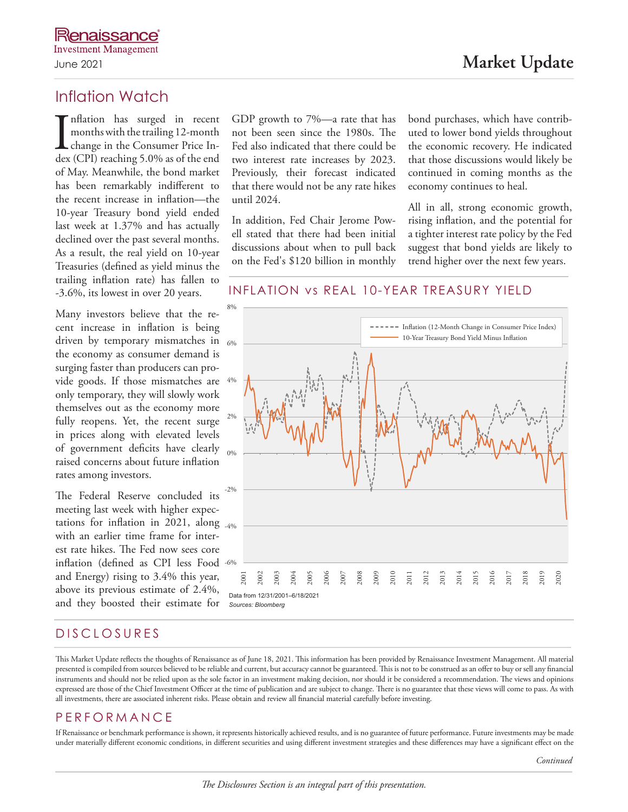# Inflation Watch

In flation has surged in recent<br>months with the trailing 12-month<br>change in the Consumer Price In-<br>dex (CPI) reaching 5.0% as of the end nflation has surged in recent months with the trailing 12-month change in the Consumer Price Inof May. Meanwhile, the bond market has been remarkably indifferent to the recent increase in inflation—the 10-year Treasury bond yield ended last week at 1.37% and has actually declined over the past several months. As a result, the real yield on 10-year Treasuries (defined as yield minus the trailing inflation rate) has fallen to -3.6%, its lowest in over 20 years.

Many investors believe that the recent increase in inflation is being driven by temporary mismatches in  $_{6\%}$ the economy as consumer demand is surging faster than producers can provide goods. If those mismatches are 4% only temporary, they will slowly work themselves out as the economy more fully reopens. Yet, the recent surge in prices along with elevated levels of government deficits have clearly raised concerns about future inflation rates among investors.

The Federal Reserve concluded its meeting last week with higher expectations for inflation in 2021, along <sub>-4%</sub> with an earlier time frame for interest rate hikes. The Fed now sees core inflation (defined as CPI less Food and Energy) rising to 3.4% this year, above its previous estimate of 2.4%, and they boosted their estimate for

GDP growth to 7%—a rate that has not been seen since the 1980s. The Fed also indicated that there could be two interest rate increases by 2023. Previously, their forecast indicated that there would not be any rate hikes until 2024.

In addition, Fed Chair Jerome Powell stated that there had been initial discussions about when to pull back on the Fed's \$120 billion in monthly bond purchases, which have contributed to lower bond yields throughout the economic recovery. He indicated that those discussions would likely be continued in coming months as the economy continues to heal.

All in all, strong economic growth, rising inflation, and the potential for a tighter interest rate policy by the Fed suggest that bond yields are likely to trend higher over the next few years.

### INFLATION vs REAL 10-YEAR TREASURY YIELD



# DISCLOSURES

This Market Update reflects the thoughts of Renaissance as of June 18, 2021. This information has been provided by Renaissance Investment Management. All material presented is compiled from sources believed to be reliable and current, but accuracy cannot be guaranteed. This is not to be construed as an offer to buy or sell any financial instruments and should not be relied upon as the sole factor in an investment making decision, nor should it be considered a recommendation. The views and opinions expressed are those of the Chief Investment Officer at the time of publication and are subject to change. There is no guarantee that these views will come to pass. As with all investments, there are associated inherent risks. Please obtain and review all financial material carefully before investing.

## PERFORMANCE

If Renaissance or benchmark performance is shown, it represents historically achieved results, and is no guarantee of future performance. Future investments may be made under materially different economic conditions, in different securities and using different investment strategies and these differences may have a significant effect on the